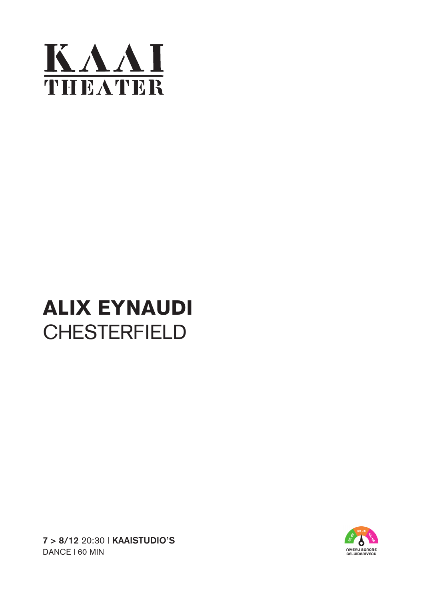

## ALIX EYNAUDI **CHESTERFIELD**



**7 > 8/12** 20:30 | **KAAISTUDIO'S** DANCE | 60 MIN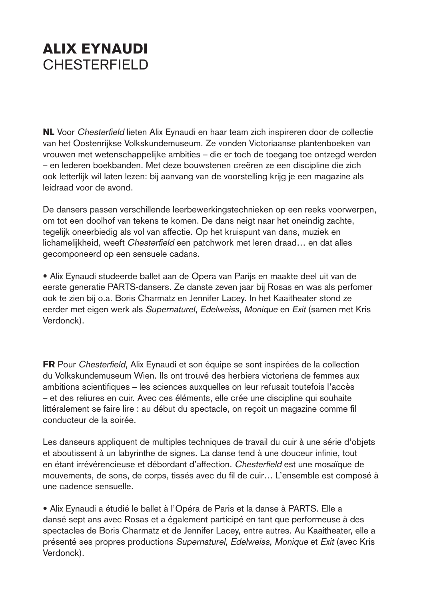## ALIX EYNAUDI CHESTERFIELD

NL Voor Chesterfield lieten Alix Eynaudi en haar team zich inspireren door de collectie van het Oostenrijkse Volkskundemuseum. Ze vonden Victoriaanse plantenboeken van vrouwen met wetenschappelijke ambities – die er toch de toegang toe ontzegd werden – en lederen boekbanden. Met deze bouwstenen creëren ze een discipline die zich ook letterlijk wil laten lezen: bij aanvang van de voorstelling krijg je een magazine als leidraad voor de avond.

De dansers passen verschillende leerbewerkingstechnieken op een reeks voorwerpen, om tot een doolhof van tekens te komen. De dans neigt naar het oneindig zachte, tegelijk oneerbiedig als vol van affectie. Op het kruispunt van dans, muziek en lichamelijkheid, weeft Chesterfield een patchwork met leren draad… en dat alles gecomponeerd op een sensuele cadans.

• Alix Eynaudi studeerde ballet aan de Opera van Parijs en maakte deel uit van de eerste generatie PARTS-dansers. Ze danste zeven jaar bij Rosas en was als perfomer ook te zien bij o.a. Boris Charmatz en Jennifer Lacey. In het Kaaitheater stond ze eerder met eigen werk als Supernaturel, Edelweiss, Monique en Exit (samen met Kris Verdonck).

FR Pour Chesterfield, Alix Eynaudi et son équipe se sont inspirées de la collection du Volkskundemuseum Wien. Ils ont trouvé des herbiers victoriens de femmes aux ambitions scientifiques – les sciences auxquelles on leur refusait toutefois l'accès – et des reliures en cuir. Avec ces éléments, elle crée une discipline qui souhaite littéralement se faire lire : au début du spectacle, on reçoit un magazine comme fil conducteur de la soirée.

Les danseurs appliquent de multiples techniques de travail du cuir à une série d'objets et aboutissent à un labyrinthe de signes. La danse tend à une douceur infinie, tout en étant irrévérencieuse et débordant d'affection. Chesterfield est une mosaïque de mouvements, de sons, de corps, tissés avec du fil de cuir… L'ensemble est composé à une cadence sensuelle.

• Alix Eynaudi a étudié le ballet à l'Opéra de Paris et la danse à PARTS. Elle a dansé sept ans avec Rosas et a également participé en tant que performeuse à des spectacles de Boris Charmatz et de Jennifer Lacey, entre autres. Au Kaaitheater, elle a présenté ses propres productions Supernaturel, Edelweiss, Monique et Exit (avec Kris Verdonck).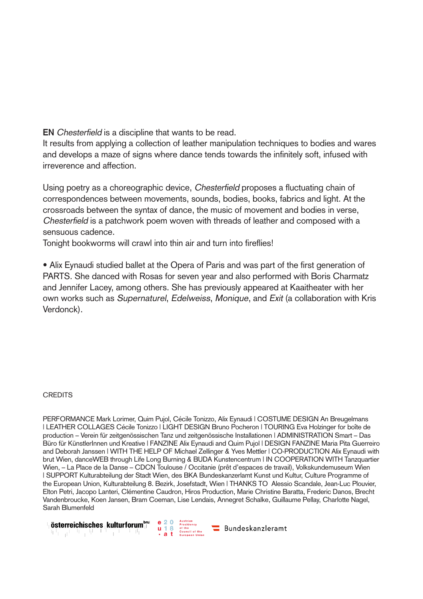**EN** Chesterfield is a discipline that wants to be read.

It results from applying a collection of leather manipulation techniques to bodies and wares and develops a maze of signs where dance tends towards the infinitely soft, infused with irreverence and affection.

Using poetry as a choreographic device, Chesterfield proposes a fluctuating chain of correspondences between movements, sounds, bodies, books, fabrics and light. At the crossroads between the syntax of dance, the music of movement and bodies in verse, Chesterfield is a patchwork poem woven with threads of leather and composed with a sensuous cadence.

Tonight bookworms will crawl into thin air and turn into fireflies!

• Alix Eynaudi studied ballet at the Opera of Paris and was part of the first generation of PARTS. She danced with Rosas for seven year and also performed with Boris Charmatz and Jennifer Lacey, among others. She has previously appeared at Kaaitheater with her own works such as Supernaturel, Edelweiss, Monique, and Exit (a collaboration with Kris Verdonck).

**CREDITS** 

PERFORMANCE Mark Lorimer, Quim Pujol, Cécile Tonizzo, Alix Eynaudi | COSTUME DESIGN An Breugelmans | LEATHER COLLAGES Cécile Tonizzo | LIGHT DESIGN Bruno Pocheron | TOURING Eva Holzinger for boîte de production – Verein für zeitgenössischen Tanz und zeitgenössische Installationen | ADMINISTRATION Smart – Das Büro für KünstlerInnen und Kreative | FANZINE Alix Eynaudi and Quim Pujol | DESIGN FANZINE Maria Pita Guerreiro and Deborah Janssen | WITH THE HELP OF Michael Zellinger & Yves Mettler | CO-PRODUCTION Alix Eynaudi with brut Wien, danceWEB through Life Long Burning & BUDA Kunstencentrum | IN COOPERATION WITH Tanzquartier Wien, – La Place de la Danse – CDCN Toulouse / Occitanie (prêt d'espaces de travail), Volkskundemuseum Wien | SUPPORT Kulturabteilung der Stadt Wien, des BKA Bundeskanzerlamt Kunst und Kultur, Culture Programme of the European Union, Kulturabteilung 8. Bezirk, Josefstadt, Wien | THANKS TO Alessio Scandale, Jean-Luc Plouvier, Elton Petri, Jacopo Lanteri, Clémentine Caudron, Hiros Production, Marie Christine Baratta, Frederic Danos, Brecht Vandenbroucke, Koen Jansen, Bram Coeman, Lise Lendais, Annegret Schalke, Guillaume Pellay, Charlotte Nagel, Sarah Blumenfeld